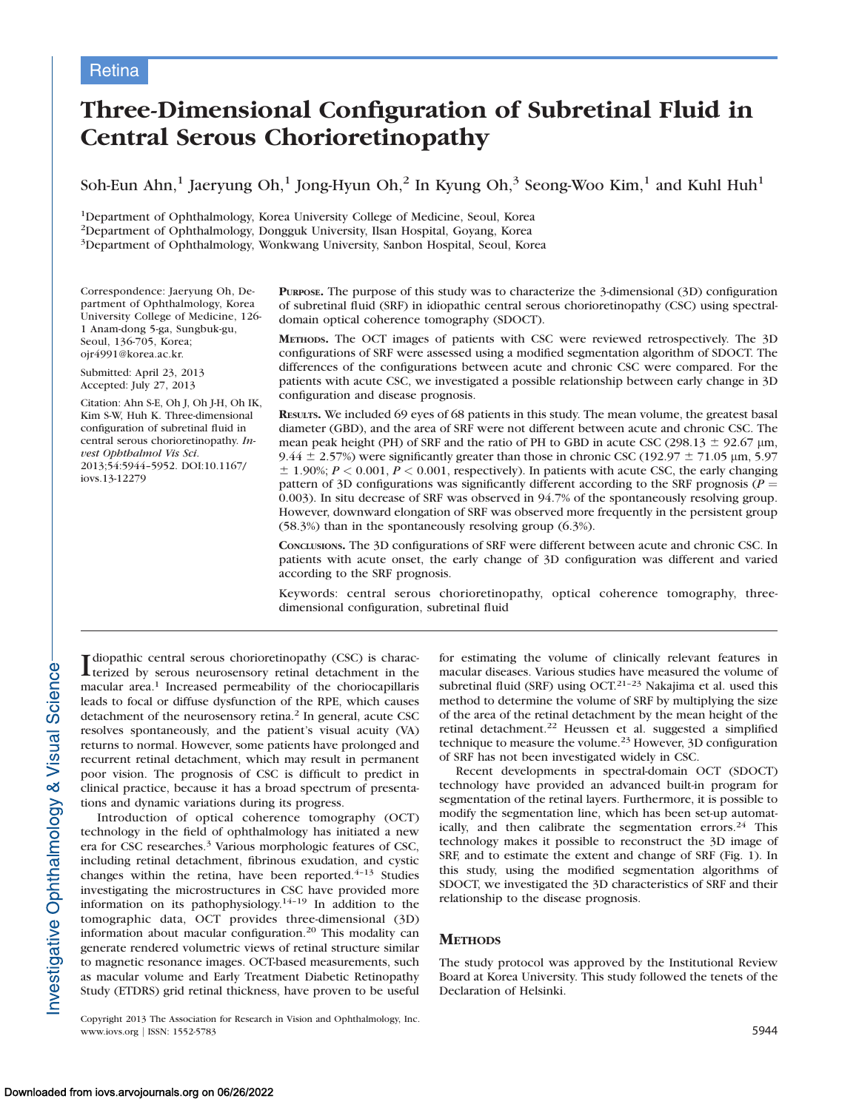## **Retina**

# Three-Dimensional Configuration of Subretinal Fluid in Central Serous Chorioretinopathy

Soh-Eun Ahn,<sup>1</sup> Jaeryung Oh,<sup>1</sup> Jong-Hyun Oh,<sup>2</sup> In Kyung Oh,<sup>3</sup> Seong-Woo Kim,<sup>1</sup> and Kuhl Huh<sup>1</sup>

1Department of Ophthalmology, Korea University College of Medicine, Seoul, Korea 2Department of Ophthalmology, Dongguk University, Ilsan Hospital, Goyang, Korea 3Department of Ophthalmology, Wonkwang University, Sanbon Hospital, Seoul, Korea

Correspondence: Jaeryung Oh, Department of Ophthalmology, Korea University College of Medicine, 126- 1 Anam-dong 5-ga, Sungbuk-gu, Seoul, 136-705, Korea; ojr4991@korea.ac.kr.

Submitted: April 23, 2013 Accepted: July 27, 2013

Citation: Ahn S-E, Oh J, Oh J-H, Oh IK, Kim S-W, Huh K. Three-dimensional configuration of subretinal fluid in central serous chorioretinopathy. Invest Ophthalmol Vis Sci. 2013;54:5944–5952. DOI:10.1167/ iovs.13-12279

PURPOSE. The purpose of this study was to characterize the 3-dimensional (3D) configuration of subretinal fluid (SRF) in idiopathic central serous chorioretinopathy (CSC) using spectraldomain optical coherence tomography (SDOCT).

METHODS. The OCT images of patients with CSC were reviewed retrospectively. The 3D configurations of SRF were assessed using a modified segmentation algorithm of SDOCT. The differences of the configurations between acute and chronic CSC were compared. For the patients with acute CSC, we investigated a possible relationship between early change in 3D configuration and disease prognosis.

RESULTS. We included 69 eyes of 68 patients in this study. The mean volume, the greatest basal diameter (GBD), and the area of SRF were not different between acute and chronic CSC. The mean peak height (PH) of SRF and the ratio of PH to GBD in acute CSC (298.13  $\pm$  92.67  $\mu$ m, 9.44  $\pm$  2.57%) were significantly greater than those in chronic CSC (192.97  $\pm$  71.05 µm, 5.97  $\pm$  1.90%;  $P < 0.001$ ,  $P < 0.001$ , respectively). In patients with acute CSC, the early changing pattern of 3D configurations was significantly different according to the SRF prognosis ( $P =$ 0.003). In situ decrease of SRF was observed in 94.7% of the spontaneously resolving group. However, downward elongation of SRF was observed more frequently in the persistent group (58.3%) than in the spontaneously resolving group (6.3%).

CONCLUSIONS. The 3D configurations of SRF were different between acute and chronic CSC. In patients with acute onset, the early change of 3D configuration was different and varied according to the SRF prognosis.

Keywords: central serous chorioretinopathy, optical coherence tomography, threedimensional configuration, subretinal fluid

I diopathic central serous chorioretinopathy (CSC) is charac-<br>terized by serous neurosensory retinal detachment in the terized by serous neurosensory retinal detachment in the macular area.<sup>1</sup> Increased permeability of the choriocapillaris leads to focal or diffuse dysfunction of the RPE, which causes detachment of the neurosensory retina.<sup>2</sup> In general, acute CSC resolves spontaneously, and the patient's visual acuity (VA) returns to normal. However, some patients have prolonged and recurrent retinal detachment, which may result in permanent poor vision. The prognosis of CSC is difficult to predict in clinical practice, because it has a broad spectrum of presentations and dynamic variations during its progress.

Introduction of optical coherence tomography (OCT) technology in the field of ophthalmology has initiated a new era for CSC researches.<sup>3</sup> Various morphologic features of CSC, including retinal detachment, fibrinous exudation, and cystic changes within the retina, have been reported.<sup>4-13</sup> Studies investigating the microstructures in CSC have provided more information on its pathophysiology.14–19 In addition to the tomographic data, OCT provides three-dimensional (3D) information about macular configuration.<sup>20</sup> This modality can generate rendered volumetric views of retinal structure similar to magnetic resonance images. OCT-based measurements, such as macular volume and Early Treatment Diabetic Retinopathy Study (ETDRS) grid retinal thickness, have proven to be useful

Copyright 2013 The Association for Research in Vision and Ophthalmology, Inc. www.iovs.org | ISSN: 1552-5783 5944

for estimating the volume of clinically relevant features in macular diseases. Various studies have measured the volume of subretinal fluid (SRF) using OCT.<sup>21-23</sup> Nakajima et al. used this method to determine the volume of SRF by multiplying the size of the area of the retinal detachment by the mean height of the retinal detachment.<sup>22</sup> Heussen et al. suggested a simplified technique to measure the volume.23 However, 3D configuration of SRF has not been investigated widely in CSC.

Recent developments in spectral-domain OCT (SDOCT) technology have provided an advanced built-in program for segmentation of the retinal layers. Furthermore, it is possible to modify the segmentation line, which has been set-up automatically, and then calibrate the segmentation errors. $24$  This technology makes it possible to reconstruct the 3D image of SRF, and to estimate the extent and change of SRF (Fig. 1). In this study, using the modified segmentation algorithms of SDOCT, we investigated the 3D characteristics of SRF and their relationship to the disease prognosis.

## **METHODS**

The study protocol was approved by the Institutional Review Board at Korea University. This study followed the tenets of the Declaration of Helsinki.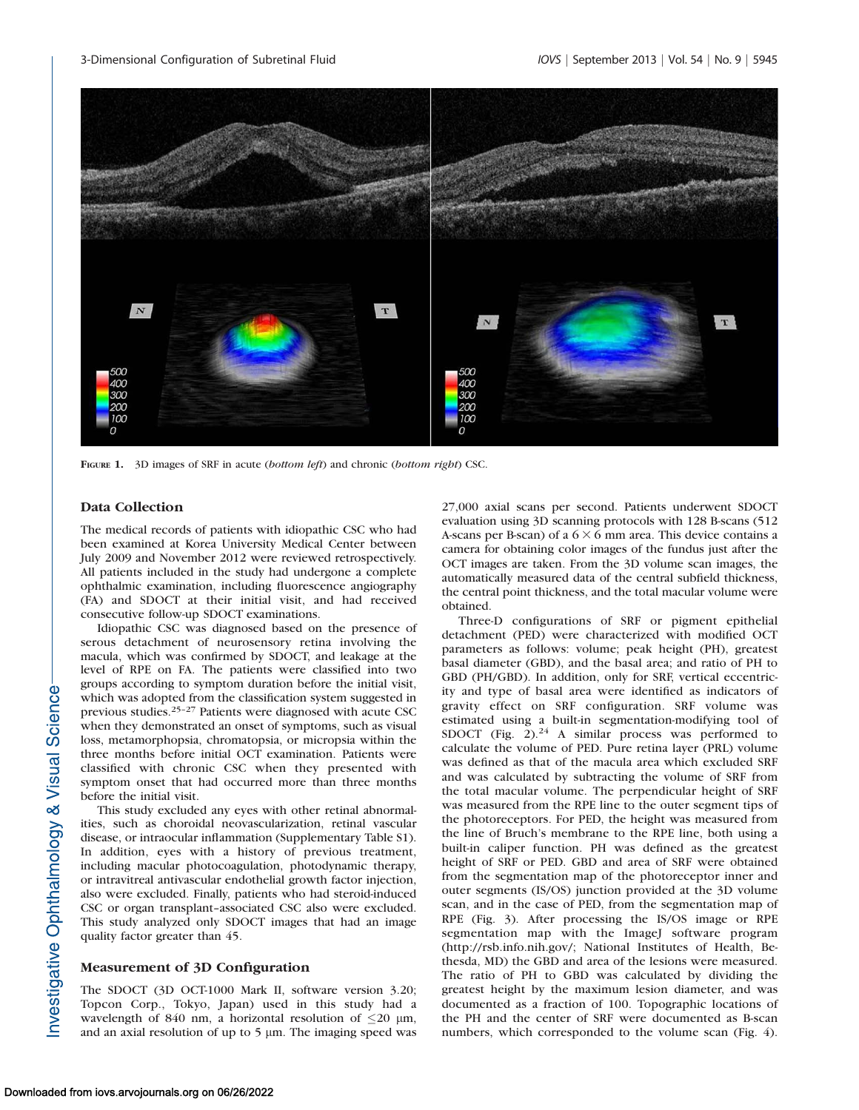

FIGURE 1. 3D images of SRF in acute (bottom left) and chronic (bottom right) CSC.

#### Data Collection

The medical records of patients with idiopathic CSC who had been examined at Korea University Medical Center between July 2009 and November 2012 were reviewed retrospectively. All patients included in the study had undergone a complete ophthalmic examination, including fluorescence angiography (FA) and SDOCT at their initial visit, and had received consecutive follow-up SDOCT examinations.

Idiopathic CSC was diagnosed based on the presence of serous detachment of neurosensory retina involving the macula, which was confirmed by SDOCT, and leakage at the level of RPE on FA. The patients were classified into two groups according to symptom duration before the initial visit, which was adopted from the classification system suggested in previous studies.25–27 Patients were diagnosed with acute CSC when they demonstrated an onset of symptoms, such as visual loss, metamorphopsia, chromatopsia, or micropsia within the three months before initial OCT examination. Patients were classified with chronic CSC when they presented with symptom onset that had occurred more than three months before the initial visit.

This study excluded any eyes with other retinal abnormalities, such as choroidal neovascularization, retinal vascular disease, or intraocular inflammation ([Supplementary Table S1\)](http://www.iovs.org/content/54/9/5944/suppl/DC1). In addition, eyes with a history of previous treatment, including macular photocoagulation, photodynamic therapy, or intravitreal antivascular endothelial growth factor injection, also were excluded. Finally, patients who had steroid-induced CSC or organ transplant–associated CSC also were excluded. This study analyzed only SDOCT images that had an image quality factor greater than 45.

#### Measurement of 3D Configuration

The SDOCT (3D OCT-1000 Mark II, software version 3.20; Topcon Corp., Tokyo, Japan) used in this study had a wavelength of 840 nm, a horizontal resolution of  $\leq$ 20  $\mu$ m, and an axial resolution of up to  $5 \mu$ m. The imaging speed was 27,000 axial scans per second. Patients underwent SDOCT evaluation using 3D scanning protocols with 128 B-scans (512 A-scans per B-scan) of a  $6 \times 6$  mm area. This device contains a camera for obtaining color images of the fundus just after the OCT images are taken. From the 3D volume scan images, the automatically measured data of the central subfield thickness, the central point thickness, and the total macular volume were obtained.

Three-D configurations of SRF or pigment epithelial detachment (PED) were characterized with modified OCT parameters as follows: volume; peak height (PH), greatest basal diameter (GBD), and the basal area; and ratio of PH to GBD (PH/GBD). In addition, only for SRF, vertical eccentricity and type of basal area were identified as indicators of gravity effect on SRF configuration. SRF volume was estimated using a built-in segmentation-modifying tool of SDOCT (Fig. 2).<sup>24</sup> A similar process was performed to calculate the volume of PED. Pure retina layer (PRL) volume was defined as that of the macula area which excluded SRF and was calculated by subtracting the volume of SRF from the total macular volume. The perpendicular height of SRF was measured from the RPE line to the outer segment tips of the photoreceptors. For PED, the height was measured from the line of Bruch's membrane to the RPE line, both using a built-in caliper function. PH was defined as the greatest height of SRF or PED. GBD and area of SRF were obtained from the segmentation map of the photoreceptor inner and outer segments (IS/OS) junction provided at the 3D volume scan, and in the case of PED, from the segmentation map of RPE (Fig. 3). After processing the IS/OS image or RPE segmentation map with the ImageJ software program (http://rsb.info.nih.gov/; National Institutes of Health, Bethesda, MD) the GBD and area of the lesions were measured. The ratio of PH to GBD was calculated by dividing the greatest height by the maximum lesion diameter, and was documented as a fraction of 100. Topographic locations of the PH and the center of SRF were documented as B-scan numbers, which corresponded to the volume scan (Fig. 4).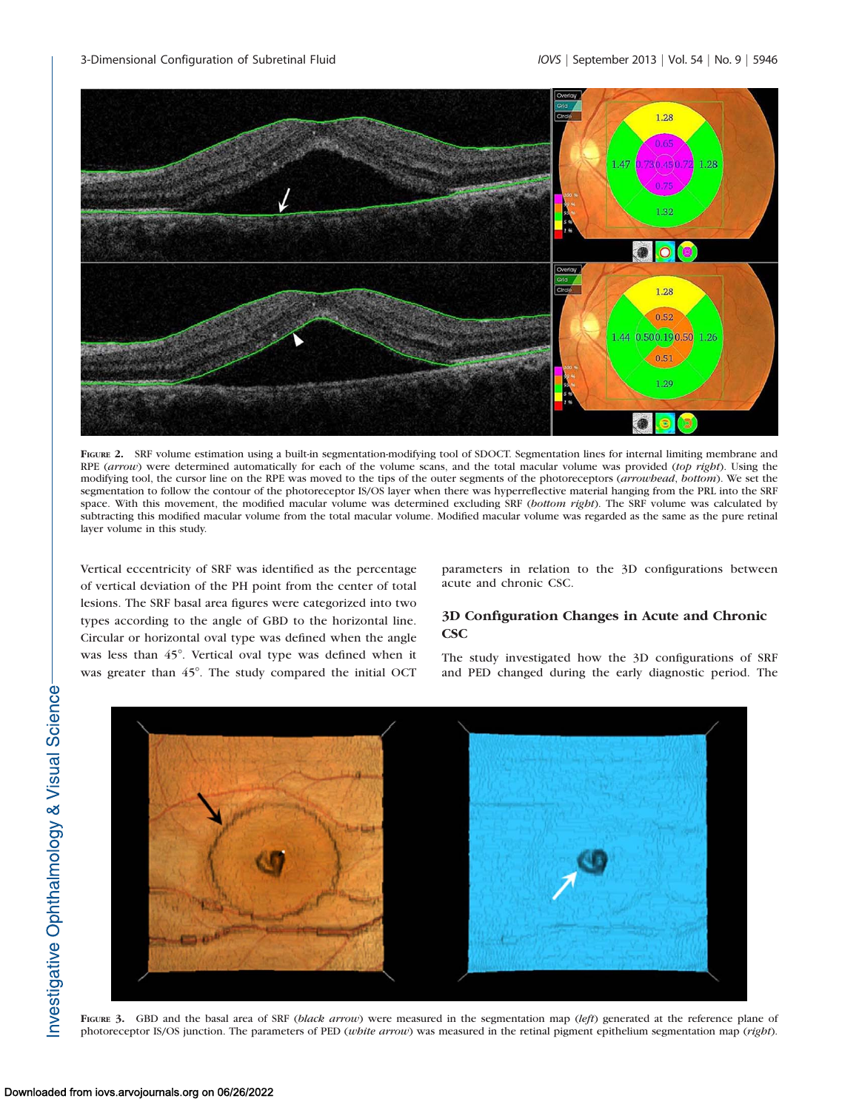

FIGURE 2. SRF volume estimation using a built-in segmentation-modifying tool of SDOCT. Segmentation lines for internal limiting membrane and RPE (arrow) were determined automatically for each of the volume scans, and the total macular volume was provided (top right). Using the modifying tool, the cursor line on the RPE was moved to the tips of the outer segments of the photoreceptors (arrowhead, bottom). We set the segmentation to follow the contour of the photoreceptor IS/OS layer when there was hyperreflective material hanging from the PRL into the SRF space. With this movement, the modified macular volume was determined excluding SRF (bottom right). The SRF volume was calculated by subtracting this modified macular volume from the total macular volume. Modified macular volume was regarded as the same as the pure retinal layer volume in this study.

Vertical eccentricity of SRF was identified as the percentage of vertical deviation of the PH point from the center of total lesions. The SRF basal area figures were categorized into two types according to the angle of GBD to the horizontal line. Circular or horizontal oval type was defined when the angle was less than 45°. Vertical oval type was defined when it was greater than 45°. The study compared the initial OCT

parameters in relation to the 3D configurations between acute and chronic CSC.

## 3D Configuration Changes in Acute and Chronic **CSC**

The study investigated how the 3D configurations of SRF and PED changed during the early diagnostic period. The



FIGURE 3. GBD and the basal area of SRF (black arrow) were measured in the segmentation map (left) generated at the reference plane of photoreceptor IS/OS junction. The parameters of PED (white arrow) was measured in the retinal pigment epithelium segmentation map (right).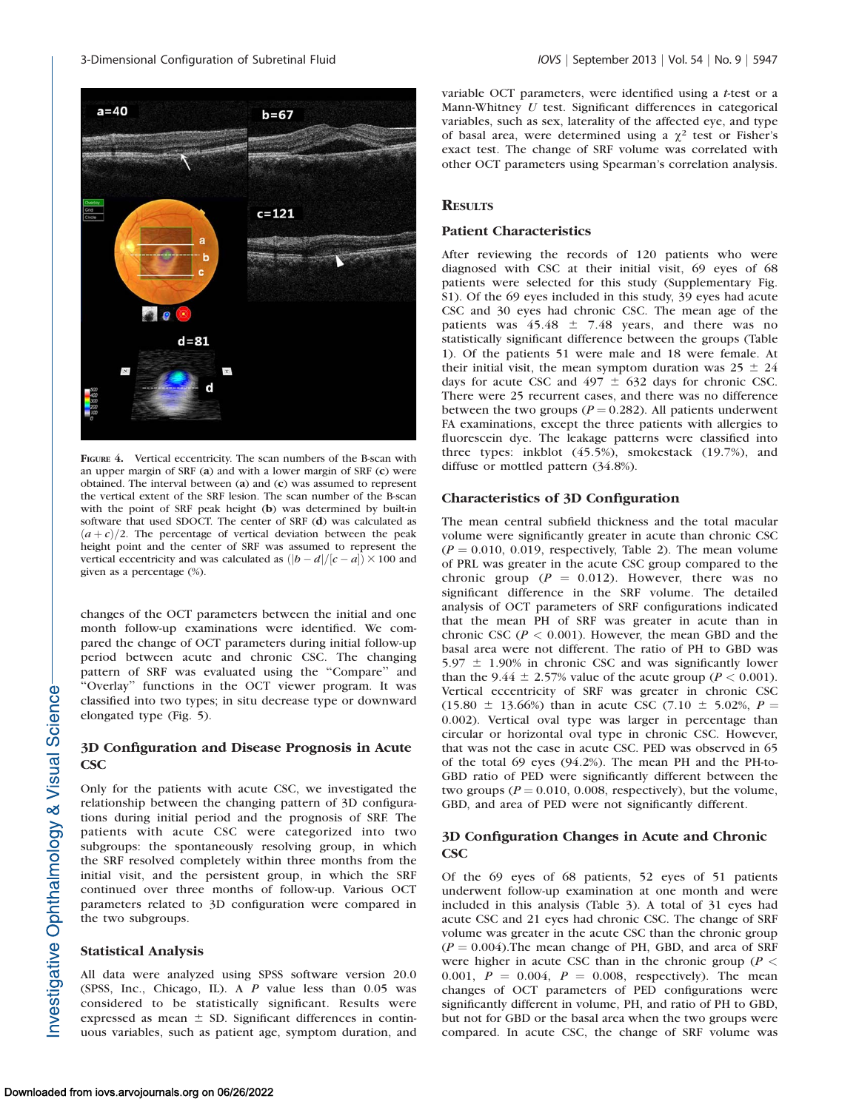

FIGURE 4. Vertical eccentricity. The scan numbers of the B-scan with an upper margin of SRF (a) and with a lower margin of SRF (c) were obtained. The interval between (a) and (c) was assumed to represent the vertical extent of the SRF lesion. The scan number of the B-scan with the point of SRF peak height (b) was determined by built-in software that used SDOCT. The center of SRF (d) was calculated as  $(a+c)/2$ . The percentage of vertical deviation between the peak height point and the center of SRF was assumed to represent the vertical eccentricity and was calculated as  $(|b-d|/|c-a|) \times 100$  and given as a percentage (%).

changes of the OCT parameters between the initial and one month follow-up examinations were identified. We compared the change of OCT parameters during initial follow-up period between acute and chronic CSC. The changing pattern of SRF was evaluated using the ''Compare'' and "Overlay" functions in the OCT viewer program. It was classified into two types; in situ decrease type or downward elongated type (Fig. 5).

## 3D Configuration and Disease Prognosis in Acute **CSC**

Only for the patients with acute CSC, we investigated the relationship between the changing pattern of 3D configurations during initial period and the prognosis of SRF. The patients with acute CSC were categorized into two subgroups: the spontaneously resolving group, in which the SRF resolved completely within three months from the initial visit, and the persistent group, in which the SRF continued over three months of follow-up. Various OCT parameters related to 3D configuration were compared in the two subgroups.

#### Statistical Analysis

All data were analyzed using SPSS software version 20.0 (SPSS, Inc., Chicago, IL). A P value less than 0.05 was considered to be statistically significant. Results were expressed as mean  $\pm$  SD. Significant differences in continuous variables, such as patient age, symptom duration, and variable OCT parameters, were identified using a t-test or a Mann-Whitney  $U$  test. Significant differences in categorical variables, such as sex, laterality of the affected eye, and type of basal area, were determined using a  $\chi^2$  test or Fisher's exact test. The change of SRF volume was correlated with other OCT parameters using Spearman's correlation analysis.

## **RESULTS**

### Patient Characteristics

After reviewing the records of 120 patients who were diagnosed with CSC at their initial visit, 69 eyes of 68 patients were selected for this study ([Supplementary Fig.](http://www.iovs.org/content/54/9/5944/suppl/DC1) [S1\)](http://www.iovs.org/content/54/9/5944/suppl/DC1). Of the 69 eyes included in this study, 39 eyes had acute CSC and 30 eyes had chronic CSC. The mean age of the patients was  $45.48 \pm 7.48$  years, and there was no statistically significant difference between the groups (Table 1). Of the patients 51 were male and 18 were female. At their initial visit, the mean symptom duration was  $25 \pm 24$ days for acute CSC and  $497 \pm 632$  days for chronic CSC. There were 25 recurrent cases, and there was no difference between the two groups ( $P = 0.282$ ). All patients underwent FA examinations, except the three patients with allergies to fluorescein dye. The leakage patterns were classified into three types: inkblot (45.5%), smokestack (19.7%), and diffuse or mottled pattern (34.8%).

#### Characteristics of 3D Configuration

The mean central subfield thickness and the total macular volume were significantly greater in acute than chronic CSC  $(P = 0.010, 0.019,$  respectively, Table 2). The mean volume of PRL was greater in the acute CSC group compared to the chronic group ( $P = 0.012$ ). However, there was no significant difference in the SRF volume. The detailed analysis of OCT parameters of SRF configurations indicated that the mean PH of SRF was greater in acute than in chronic CSC ( $P < 0.001$ ). However, the mean GBD and the basal area were not different. The ratio of PH to GBD was 5.97  $\pm$  1.90% in chronic CSC and was significantly lower than the 9.44  $\pm$  2.57% value of the acute group ( $P < 0.001$ ). Vertical eccentricity of SRF was greater in chronic CSC  $(15.80 \pm 13.66%)$  than in acute CSC  $(7.10 \pm 5.02% , P =$ 0.002). Vertical oval type was larger in percentage than circular or horizontal oval type in chronic CSC. However, that was not the case in acute CSC. PED was observed in 65 of the total 69 eyes (94.2%). The mean PH and the PH-to-GBD ratio of PED were significantly different between the two groups ( $P = 0.010, 0.008$ , respectively), but the volume, GBD, and area of PED were not significantly different.

## 3D Configuration Changes in Acute and Chronic **CSC**

Of the 69 eyes of 68 patients, 52 eyes of 51 patients underwent follow-up examination at one month and were included in this analysis (Table 3). A total of 31 eyes had acute CSC and 21 eyes had chronic CSC. The change of SRF volume was greater in the acute CSC than the chronic group  $(P = 0.004)$ . The mean change of PH, GBD, and area of SRF were higher in acute CSC than in the chronic group ( $P <$ 0.001,  $P = 0.004$ ,  $P = 0.008$ , respectively). The mean changes of OCT parameters of PED configurations were significantly different in volume, PH, and ratio of PH to GBD, but not for GBD or the basal area when the two groups were compared. In acute CSC, the change of SRF volume was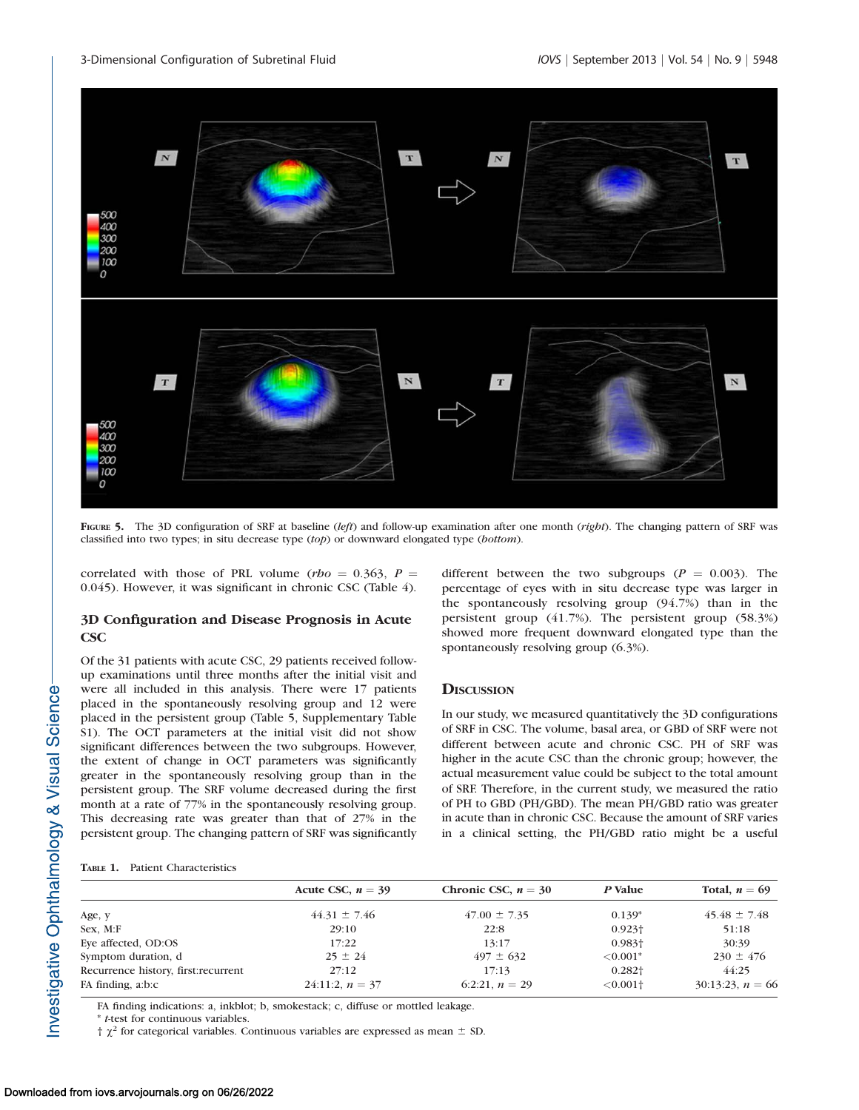

FIGURE 5. The 3D configuration of SRF at baseline (left) and follow-up examination after one month (right). The changing pattern of SRF was classified into two types; in situ decrease type (top) or downward elongated type (bottom).

correlated with those of PRL volume (rho = 0.363, P = 0.045). However, it was significant in chronic CSC (Table 4).

#### 3D Configuration and Disease Prognosis in Acute CSC

Of the 31 patients with acute CSC, 29 patients received followup examinations until three months after the initial visit and were all included in this analysis. There were 17 patients placed in the spontaneously resolving group and 12 were placed in the persistent group (Table 5, [Supplementary Table](http://www.iovs.org/content/54/9/5944/suppl/DC1) [S1](http://www.iovs.org/content/54/9/5944/suppl/DC1)). The OCT parameters at the initial visit did not show significant differences between the two subgroups. However, the extent of change in OCT parameters was significantly greater in the spontaneously resolving group than in the persistent group. The SRF volume decreased during the first month at a rate of 77% in the spontaneously resolving group. This decreasing rate was greater than that of 27% in the persistent group. The changing pattern of SRF was significantly different between the two subgroups ( $P = 0.003$ ). The percentage of eyes with in situ decrease type was larger in the spontaneously resolving group (94.7%) than in the persistent group (41.7%). The persistent group (58.3%) showed more frequent downward elongated type than the spontaneously resolving group (6.3%).

## **DISCUSSION**

In our study, we measured quantitatively the 3D configurations of SRF in CSC. The volume, basal area, or GBD of SRF were not different between acute and chronic CSC. PH of SRF was higher in the acute CSC than the chronic group; however, the actual measurement value could be subject to the total amount of SRF. Therefore, in the current study, we measured the ratio of PH to GBD (PH/GBD). The mean PH/GBD ratio was greater in acute than in chronic CSC. Because the amount of SRF varies in a clinical setting, the PH/GBD ratio might be a useful

|                                      | Acute CSC, $n = 39$ | Chronic CSC, $n = 30$ | P Value                | Total, $n = 69$    |
|--------------------------------------|---------------------|-----------------------|------------------------|--------------------|
| Age, y                               | $44.31 \pm 7.46$    | $47.00 \pm 7.35$      | $0.139*$               | $45.48 \pm 7.48$   |
| Sex, M:F                             | 29:10               | 22:8                  | $0.923\dagger$         | 51:18              |
| Eye affected, OD:OS                  | 17:22               | 13:17                 | $0.983\dagger$         | 30:39              |
| Symptom duration, d                  | $25 \pm 24$         | $497 \pm 632$         | $\leq 0.001*$          | $230 \pm 476$      |
| Recurrence history, first: recurrent | 27:12               | 17:13                 | $0.282\dagger$         | 44:25              |
| FA finding, a:b:c                    | 24:11:2, $n = 37$   | 6:2:21. $n = 29$      | $< 0.001$ <sup>+</sup> | $30:13:23, n = 66$ |

FA finding indications: a, inkblot; b, smokestack; c, diffuse or mottled leakage.

\* t-test for continuous variables.

 $\uparrow \chi^2$  for categorical variables. Continuous variables are expressed as mean  $\pm$  SD.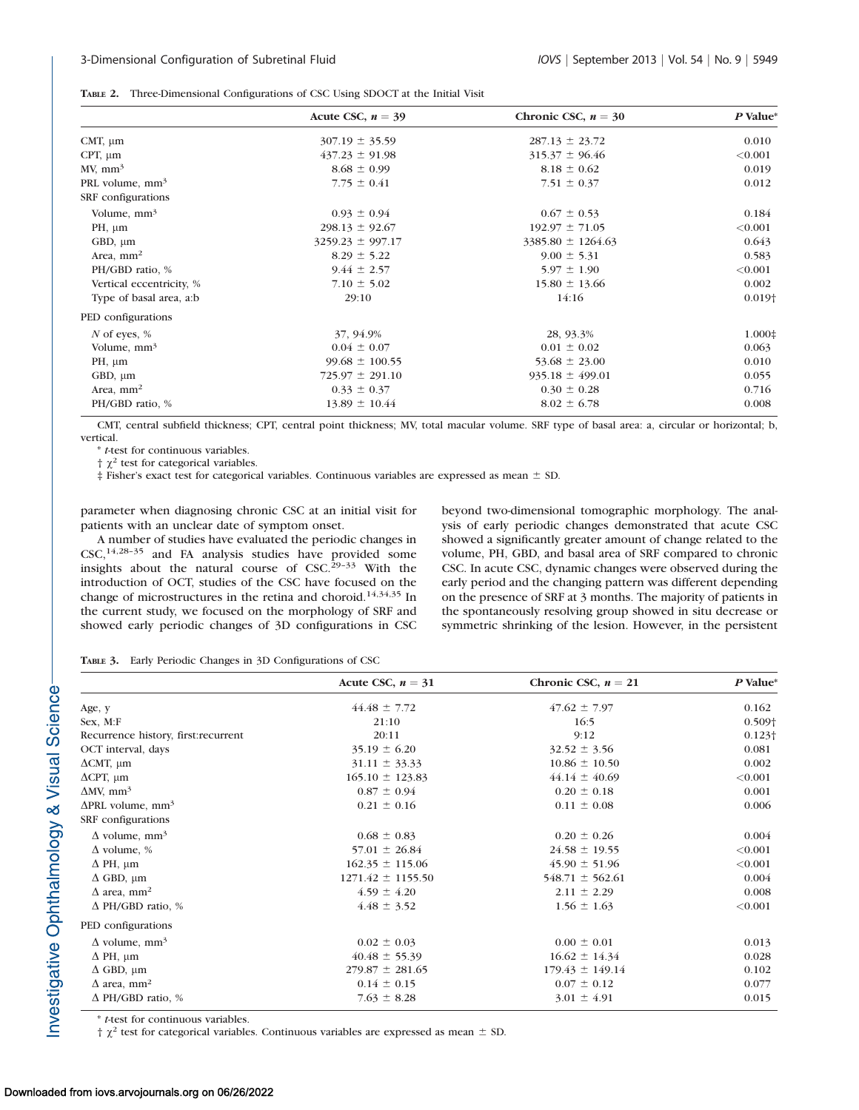|  | <b>TABLE 2.</b> Three-Dimensional Configurations of CSC Using SDOCT at the Initial Visit |  |  |  |  |  |  |  |
|--|------------------------------------------------------------------------------------------|--|--|--|--|--|--|--|
|--|------------------------------------------------------------------------------------------|--|--|--|--|--|--|--|

|                             | Acute CSC, $n = 39$  | Chronic CSC, $n = 30$ | P Value* |
|-----------------------------|----------------------|-----------------------|----------|
| CMT, $\mu$ m                | $307.19 \pm 35.59$   | $287.13 \pm 23.72$    | 0.010    |
| $CPT$ , $\mu$ m             | $437.23 \pm 91.98$   | $315.37 \pm 96.46$    | < 0.001  |
| MV, mm <sup>3</sup>         | $8.68 \pm 0.99$      | $8.18 \pm 0.62$       | 0.019    |
| PRL volume, mm <sup>3</sup> | $7.75 \pm 0.41$      | $7.51 \pm 0.37$       | 0.012    |
| SRF configurations          |                      |                       |          |
| Volume, $mm3$               | $0.93 \pm 0.94$      | $0.67 \pm 0.53$       | 0.184    |
| $PH, \mu m$                 | $298.13 \pm 92.67$   | $192.97 \pm 71.05$    | < 0.001  |
| GBD, $\mu$ m                | $3259.23 \pm 997.17$ | $3385.80 \pm 1264.63$ | 0.643    |
| Area, $mm2$                 | $8.29 \pm 5.22$      | $9.00 \pm 5.31$       | 0.583    |
| PH/GBD ratio, %             | $9.44 \pm 2.57$      | $5.97 \pm 1.90$       | < 0.001  |
| Vertical eccentricity, %    | $7.10 \pm 5.02$      | $15.80 \pm 13.66$     | 0.002    |
| Type of basal area, a:b     | 29:10                | 14:16                 | $0.019+$ |
| PED configurations          |                      |                       |          |
| $N$ of eyes, %              | 37, 94.9%            | 28, 93.3%             | 1.000‡   |
| Volume, $mm3$               | $0.04 \pm 0.07$      | $0.01 \pm 0.02$       | 0.063    |
| $PH, \mu m$                 | $99.68 \pm 100.55$   | $53.68 \pm 23.00$     | 0.010    |
| GBD, $\mu$ m                | $725.97 \pm 291.10$  | $935.18 \pm 499.01$   | 0.055    |
| Area, $mm2$                 | $0.33 \pm 0.37$      | $0.30 \pm 0.28$       | 0.716    |
| PH/GBD ratio, %             | $13.89 \pm 10.44$    | $8.02 \pm 6.78$       | 0.008    |

CMT, central subfield thickness; CPT, central point thickness; MV, total macular volume. SRF type of basal area: a, circular or horizontal; b, vertical.

\* t-test for continuous variables.

 $\uparrow \chi^2$  test for categorical variables.

‡ Fisher's exact test for categorical variables. Continuous variables are expressed as mean  $\pm$  SD.

parameter when diagnosing chronic CSC at an initial visit for patients with an unclear date of symptom onset.

A number of studies have evaluated the periodic changes in CSC,14,28–35 and FA analysis studies have provided some insights about the natural course of  $CSC^{29-33}$  With the introduction of OCT, studies of the CSC have focused on the change of microstructures in the retina and choroid.14,34,35 In the current study, we focused on the morphology of SRF and showed early periodic changes of 3D configurations in CSC beyond two-dimensional tomographic morphology. The analysis of early periodic changes demonstrated that acute CSC showed a significantly greater amount of change related to the volume, PH, GBD, and basal area of SRF compared to chronic CSC. In acute CSC, dynamic changes were observed during the early period and the changing pattern was different depending on the presence of SRF at 3 months. The majority of patients in the spontaneously resolving group showed in situ decrease or symmetric shrinking of the lesion. However, in the persistent

TABLE 3. Early Periodic Changes in 3D Configurations of CSC

|                                      | Acute CSC, $n = 31$   | Chronic CSC, $n = 21$ | P Value*       |
|--------------------------------------|-----------------------|-----------------------|----------------|
| Age, y                               | $44.48 \pm 7.72$      | $47.62 \pm 7.97$      | 0.162          |
| Sex, M:F                             | 21:10                 | 16:5                  | $0.509+$       |
| Recurrence history, first:recurrent  | 20:11                 | 9:12                  | $0.123\dagger$ |
| OCT interval, days                   | $35.19 \pm 6.20$      | $32.52 \pm 3.56$      | 0.081          |
| $\Delta$ CMT, $\mu$ m                | $31.11 \pm 33.33$     | $10.86 \pm 10.50$     | 0.002          |
| $\Delta$ CPT, $\mu$ m                | $165.10 \pm 123.83$   | $44.14 \pm 40.69$     | < 0.001        |
| $\Delta MV$ , mm <sup>3</sup>        | $0.87 \pm 0.94$       | $0.20 \pm 0.18$       | 0.001          |
| $\Delta$ PRL volume, mm <sup>3</sup> | $0.21 \pm 0.16$       | $0.11 \pm 0.08$       | 0.006          |
| SRF configurations                   |                       |                       |                |
| $\Delta$ volume, mm <sup>3</sup>     | $0.68 \pm 0.83$       | $0.20 \pm 0.26$       | 0.004          |
| $\Delta$ volume, %                   | $57.01 \pm 26.84$     | $24.58 \pm 19.55$     | < 0.001        |
| $\Delta$ PH, $\mu$ m                 | $162.35 \pm 115.06$   | $45.90 \pm 51.96$     | < 0.001        |
| $\Delta$ GBD, $\mu$ m                | $1271.42 \pm 1155.50$ | $548.71 \pm 562.61$   | 0.004          |
| $\Delta$ area, mm <sup>2</sup>       | $4.59 \pm 4.20$       | $2.11 \pm 2.29$       | 0.008          |
| $\Delta$ PH/GBD ratio, %             | $4.48 \pm 3.52$       | $1.56 \pm 1.63$       | < 0.001        |
| PED configurations                   |                       |                       |                |
| $\Delta$ volume, mm <sup>3</sup>     | $0.02 \pm 0.03$       | $0.00 \pm 0.01$       | 0.013          |
| $\Delta$ PH, $\mu$ m                 | $40.48 \pm 55.39$     | $16.62 \pm 14.34$     | 0.028          |
| $\Delta$ GBD, $\mu$ m                | $279.87 \pm 281.65$   | $179.43 \pm 149.14$   | 0.102          |
| $\Delta$ area, mm <sup>2</sup>       | $0.14 \pm 0.15$       | $0.07 \pm 0.12$       | 0.077          |
| $\Delta$ PH/GBD ratio, %             | $7.63 \pm 8.28$       | $3.01 \pm 4.91$       | 0.015          |

\* t-test for continuous variables.

 $\dagger \chi^2$  test for categorical variables. Continuous variables are expressed as mean  $\pm$  SD.

Investigative Ophthalmology & Visual Science-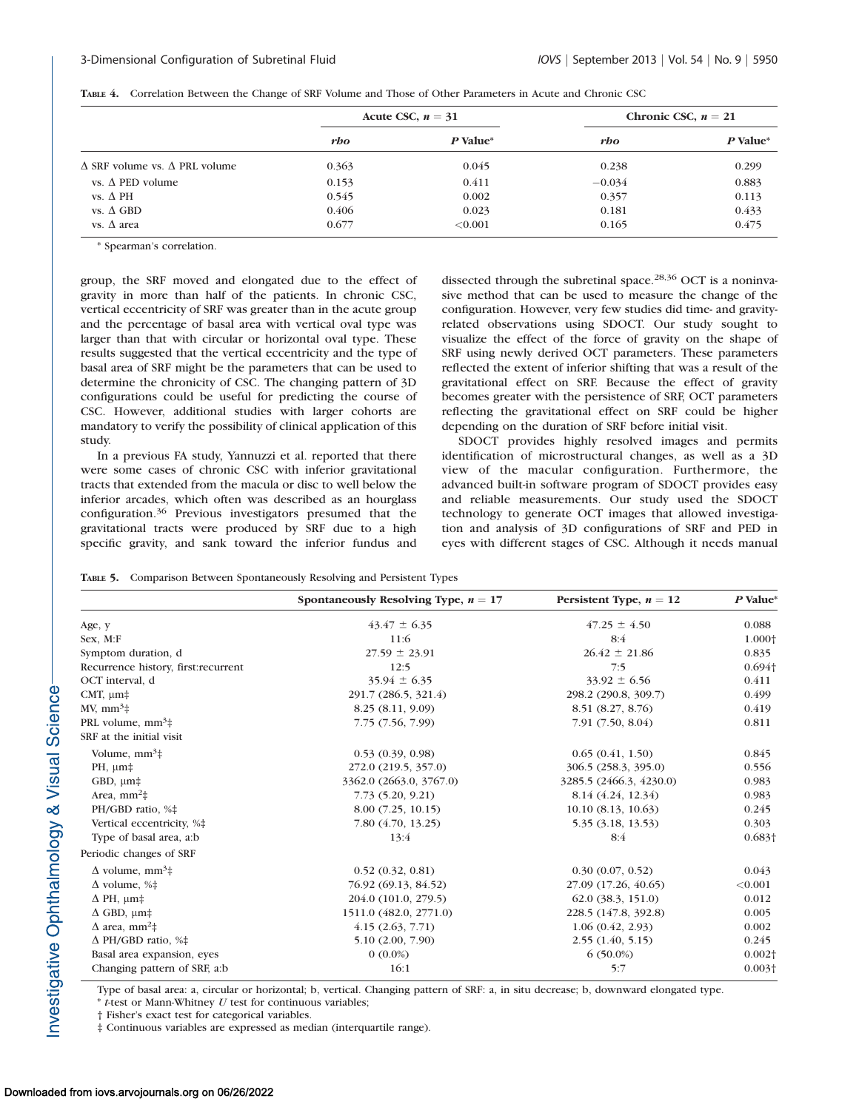|                                             | Acute CSC, $n = 31$ |            | Chronic CSC, $n = 21$ |          |
|---------------------------------------------|---------------------|------------|-----------------------|----------|
|                                             | rbo                 | P Value*   | rbo                   | P Value* |
| $\Delta$ SRF volume vs. $\Delta$ PRL volume | 0.363               | 0.045      | 0.238                 | 0.299    |
| vs. $\Lambda$ PED volume                    | 0.153               | 0.411      | $-0.034$              | 0.883    |
| vs. $\Delta$ PH                             | 0.545               | 0.002      | 0.357                 | 0.113    |
| vs. $\Delta$ GBD                            | 0.406               | 0.023      | 0.181                 | 0.433    |
| vs. $\Delta$ area                           | 0.677               | ${<}0.001$ | 0.165                 | 0.475    |

TABLE 4. Correlation Between the Change of SRF Volume and Those of Other Parameters in Acute and Chronic CSC

\* Spearman's correlation.

group, the SRF moved and elongated due to the effect of gravity in more than half of the patients. In chronic CSC, vertical eccentricity of SRF was greater than in the acute group and the percentage of basal area with vertical oval type was larger than that with circular or horizontal oval type. These results suggested that the vertical eccentricity and the type of basal area of SRF might be the parameters that can be used to determine the chronicity of CSC. The changing pattern of 3D configurations could be useful for predicting the course of CSC. However, additional studies with larger cohorts are mandatory to verify the possibility of clinical application of this study.

In a previous FA study, Yannuzzi et al. reported that there were some cases of chronic CSC with inferior gravitational tracts that extended from the macula or disc to well below the inferior arcades, which often was described as an hourglass configuration.<sup>36</sup> Previous investigators presumed that the gravitational tracts were produced by SRF due to a high specific gravity, and sank toward the inferior fundus and dissected through the subretinal space.<sup>28,36</sup> OCT is a noninvasive method that can be used to measure the change of the configuration. However, very few studies did time- and gravityrelated observations using SDOCT. Our study sought to visualize the effect of the force of gravity on the shape of SRF using newly derived OCT parameters. These parameters reflected the extent of inferior shifting that was a result of the gravitational effect on SRF. Because the effect of gravity becomes greater with the persistence of SRF, OCT parameters reflecting the gravitational effect on SRF could be higher depending on the duration of SRF before initial visit.

SDOCT provides highly resolved images and permits identification of microstructural changes, as well as a 3D view of the macular configuration. Furthermore, the advanced built-in software program of SDOCT provides easy and reliable measurements. Our study used the SDOCT technology to generate OCT images that allowed investigation and analysis of 3D configurations of SRF and PED in eyes with different stages of CSC. Although it needs manual

|  |  |  |  |  | <b>TABLE 5.</b> Comparison Between Spontaneously Resolving and Persistent Types |  |
|--|--|--|--|--|---------------------------------------------------------------------------------|--|
|--|--|--|--|--|---------------------------------------------------------------------------------|--|

|                                                   | Spontaneously Resolving Type, $n = 17$ | Persistent Type, $n = 12$ | $P$ Value*     |
|---------------------------------------------------|----------------------------------------|---------------------------|----------------|
| Age, y                                            | $43.47 \pm 6.35$                       | $47.25 \pm 4.50$          | 0.088          |
| Sex, M:F                                          | 11:6                                   | 8:4                       | 1.000+         |
| Symptom duration, d                               | $27.59 \pm 23.91$                      | $26.42 \pm 21.86$         | 0.835          |
| Recurrence history, first: recurrent              | 12:5                                   | 7:5                       | $0.694\dagger$ |
| OCT interval, d                                   | $35.94 \pm 6.35$                       | $33.92 \pm 6.56$          | 0.411          |
| CMT, $\mu$ m <sup><math>\pm</math></sup>          | 291.7 (286.5, 321.4)                   | 298.2 (290.8, 309.7)      | 0.499          |
| $MV, mm3$ #                                       | 8.25 (8.11, 9.09)                      | 8.51 (8.27, 8.76)         | 0.419          |
| PRL volume, $mm3$ #                               | 7.75 (7.56, 7.99)                      | 7.91(7.50, 8.04)          | 0.811          |
| SRF at the initial visit                          |                                        |                           |                |
| Volume, $mm3$ ‡                                   | 0.53(0.39, 0.98)                       | 0.65(0.41, 1.50)          | 0.845          |
| $PH, \mu m$ ‡                                     | 272.0 (219.5, 357.0)                   | 306.5 (258.3, 395.0)      | 0.556          |
| GBD, $\mu$ m <sup><math>\pm</math></sup>          | 3362.0 (2663.0, 3767.0)                | 3285.5 (2466.3, 4230.0)   | 0.983          |
| Area, $mm2$ #                                     | 7.73 (5.20, 9.21)                      | 8.14 (4.24, 12.34)        | 0.983          |
| PH/GBD ratio, %‡                                  | 8.00(7.25, 10.15)                      | 10.10(8.13, 10.63)        | 0.245          |
| Vertical eccentricity, %‡                         | 7.80 (4.70, 13.25)                     | 5.35 (3.18, 13.53)        | 0.303          |
| Type of basal area, a:b                           | 13:4                                   | 8:4                       | $0.683\dagger$ |
| Periodic changes of SRF                           |                                        |                           |                |
| $\Delta$ volume, mm <sup>3</sup> ‡                | 0.52(0.32, 0.81)                       | 0.30(0.07, 0.52)          | 0.043          |
| $\Delta$ volume, %‡                               | 76.92 (69.13, 84.52)                   | 27.09 (17.26, 40.65)      | < 0.001        |
| $\Delta$ PH, $\mu$ m <sup><math>\pm</math></sup>  | 204.0 (101.0, 279.5)                   | 62.0(38.3, 151.0)         | 0.012          |
| $\Delta$ GBD, $\mu$ m <sup><math>\pm</math></sup> | 1511.0 (482.0, 2771.0)                 | 228.5 (147.8, 392.8)      | 0.005          |
| $\Delta$ area, mm <sup>2</sup> ‡                  | 4.15(2.63, 7.71)                       | 1.06(0.42, 2.93)          | 0.002          |
| $\Delta$ PH/GBD ratio, %‡                         | 5.10 (2.00, 7.90)                      | 2.55(1.40, 5.15)          | 0.245          |
| Basal area expansion, eyes                        | $0(0.0\%)$                             | $6(50.0\%)$               | $0.002\dagger$ |
| Changing pattern of SRF, a:b                      | 16:1                                   | 5:7                       | $0.003+$       |

Type of basal area: a, circular or horizontal; b, vertical. Changing pattern of SRF: a, in situ decrease; b, downward elongated type.

 $*$  t-test or Mann-Whitney  $U$  test for continuous variables;

† Fisher's exact test for categorical variables.

‡ Continuous variables are expressed as median (interquartile range).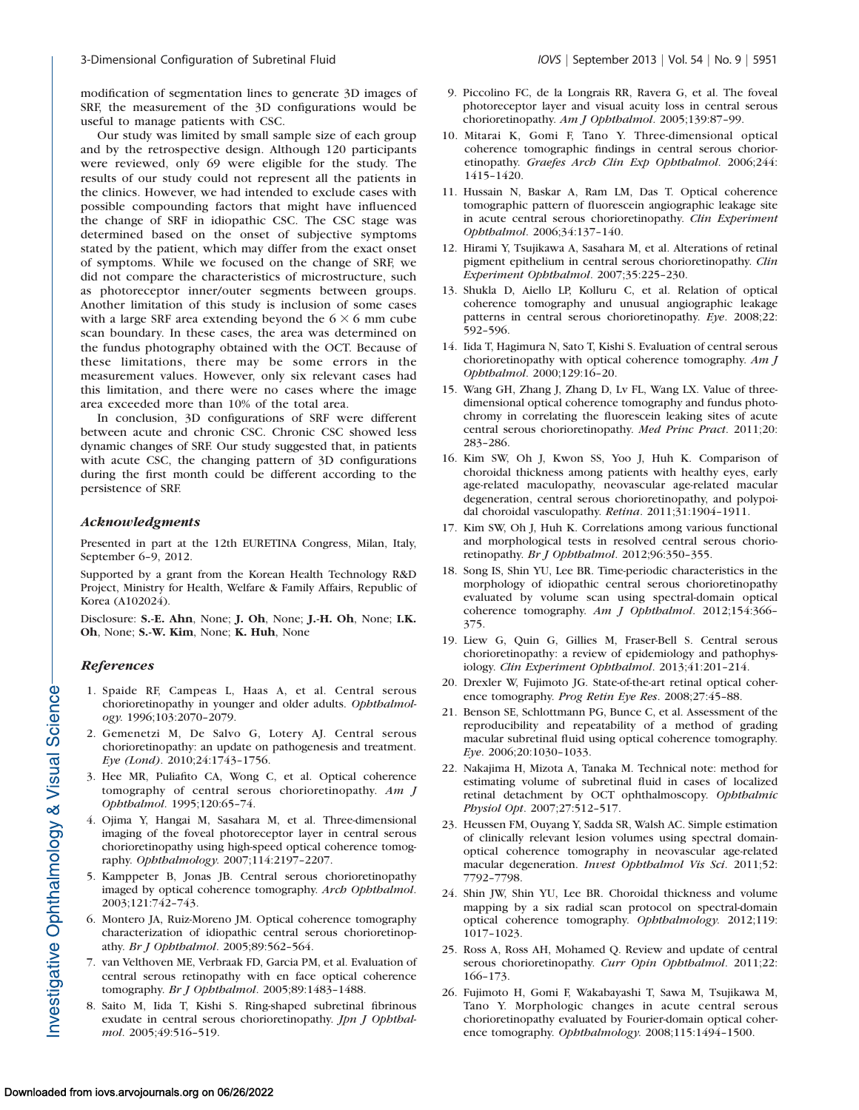modification of segmentation lines to generate 3D images of SRF, the measurement of the 3D configurations would be useful to manage patients with CSC.

Our study was limited by small sample size of each group and by the retrospective design. Although 120 participants were reviewed, only 69 were eligible for the study. The results of our study could not represent all the patients in the clinics. However, we had intended to exclude cases with possible compounding factors that might have influenced the change of SRF in idiopathic CSC. The CSC stage was determined based on the onset of subjective symptoms stated by the patient, which may differ from the exact onset of symptoms. While we focused on the change of SRF, we did not compare the characteristics of microstructure, such as photoreceptor inner/outer segments between groups. Another limitation of this study is inclusion of some cases with a large SRF area extending beyond the  $6 \times 6$  mm cube scan boundary. In these cases, the area was determined on the fundus photography obtained with the OCT. Because of these limitations, there may be some errors in the measurement values. However, only six relevant cases had this limitation, and there were no cases where the image area exceeded more than 10% of the total area.

In conclusion, 3D configurations of SRF were different between acute and chronic CSC. Chronic CSC showed less dynamic changes of SRF. Our study suggested that, in patients with acute CSC, the changing pattern of 3D configurations during the first month could be different according to the persistence of SRF.

#### Acknowledgments

Presented in part at the 12th EURETINA Congress, Milan, Italy, September 6–9, 2012.

Supported by a grant from the Korean Health Technology R&D Project, Ministry for Health, Welfare & Family Affairs, Republic of Korea (A102024).

Disclosure: S.-E. Ahn, None; J. Oh, None; J.-H. Oh, None; I.K. Oh, None; S.-W. Kim, None; K. Huh, None

#### References

- 1. Spaide RF, Campeas L, Haas A, et al. Central serous chorioretinopathy in younger and older adults. Ophthalmology. 1996;103:2070–2079.
- 2. Gemenetzi M, De Salvo G, Lotery AJ. Central serous chorioretinopathy: an update on pathogenesis and treatment. Eye (Lond). 2010;24:1743–1756.
- 3. Hee MR, Puliafito CA, Wong C, et al. Optical coherence tomography of central serous chorioretinopathy. Am J Ophthalmol. 1995;120:65–74.
- 4. Ojima Y, Hangai M, Sasahara M, et al. Three-dimensional imaging of the foveal photoreceptor layer in central serous chorioretinopathy using high-speed optical coherence tomography. Ophthalmology. 2007;114:2197–2207.
- 5. Kamppeter B, Jonas JB. Central serous chorioretinopathy imaged by optical coherence tomography. Arch Ophthalmol. 2003;121:742–743.
- 6. Montero JA, Ruiz-Moreno JM. Optical coherence tomography characterization of idiopathic central serous chorioretinopathy. Br J Ophthalmol. 2005;89:562–564.
- 7. van Velthoven ME, Verbraak FD, Garcia PM, et al. Evaluation of central serous retinopathy with en face optical coherence tomography. Br J Ophthalmol. 2005;89:1483–1488.
- 8. Saito M, Iida T, Kishi S. Ring-shaped subretinal fibrinous exudate in central serous chorioretinopathy. Jpn J Ophthalmol. 2005;49:516–519.
- 9. Piccolino FC, de la Longrais RR, Ravera G, et al. The foveal photoreceptor layer and visual acuity loss in central serous chorioretinopathy. Am J Ophthalmol. 2005;139:87-99.
- 10. Mitarai K, Gomi F, Tano Y. Three-dimensional optical coherence tomographic findings in central serous chorioretinopathy. Graefes Arch Clin Exp Ophthalmol. 2006;244: 1415–1420.
- 11. Hussain N, Baskar A, Ram LM, Das T. Optical coherence tomographic pattern of fluorescein angiographic leakage site in acute central serous chorioretinopathy. Clin Experiment Ophthalmol. 2006;34:137–140.
- 12. Hirami Y, Tsujikawa A, Sasahara M, et al. Alterations of retinal pigment epithelium in central serous chorioretinopathy. Clin Experiment Ophthalmol. 2007;35:225–230.
- 13. Shukla D, Aiello LP, Kolluru C, et al. Relation of optical coherence tomography and unusual angiographic leakage patterns in central serous chorioretinopathy. Eye. 2008;22: 592–596.
- 14. Iida T, Hagimura N, Sato T, Kishi S. Evaluation of central serous chorioretinopathy with optical coherence tomography. Am J Ophthalmol. 2000;129:16–20.
- 15. Wang GH, Zhang J, Zhang D, Lv FL, Wang LX. Value of threedimensional optical coherence tomography and fundus photochromy in correlating the fluorescein leaking sites of acute central serous chorioretinopathy. Med Princ Pract. 2011;20: 283–286.
- 16. Kim SW, Oh J, Kwon SS, Yoo J, Huh K. Comparison of choroidal thickness among patients with healthy eyes, early age-related maculopathy, neovascular age-related macular degeneration, central serous chorioretinopathy, and polypoidal choroidal vasculopathy. Retina. 2011;31:1904–1911.
- 17. Kim SW, Oh J, Huh K. Correlations among various functional and morphological tests in resolved central serous chorioretinopathy. Br J Ophthalmol. 2012;96:350–355.
- 18. Song IS, Shin YU, Lee BR. Time-periodic characteristics in the morphology of idiopathic central serous chorioretinopathy evaluated by volume scan using spectral-domain optical coherence tomography. Am J Ophthalmol. 2012;154:366-375.
- 19. Liew G, Quin G, Gillies M, Fraser-Bell S. Central serous chorioretinopathy: a review of epidemiology and pathophysiology. Clin Experiment Ophthalmol. 2013;41:201–214.
- 20. Drexler W, Fujimoto JG. State-of-the-art retinal optical coherence tomography. Prog Retin Eye Res. 2008;27:45–88.
- 21. Benson SE, Schlottmann PG, Bunce C, et al. Assessment of the reproducibility and repeatability of a method of grading macular subretinal fluid using optical coherence tomography. Eye. 2006;20:1030–1033.
- 22. Nakajima H, Mizota A, Tanaka M. Technical note: method for estimating volume of subretinal fluid in cases of localized retinal detachment by OCT ophthalmoscopy. Ophthalmic Physiol Opt. 2007;27:512–517.
- 23. Heussen FM, Ouyang Y, Sadda SR, Walsh AC. Simple estimation of clinically relevant lesion volumes using spectral domainoptical coherence tomography in neovascular age-related macular degeneration. Invest Ophthalmol Vis Sci. 2011;52: 7792–7798.
- 24. Shin JW, Shin YU, Lee BR. Choroidal thickness and volume mapping by a six radial scan protocol on spectral-domain optical coherence tomography. Ophthalmology. 2012;119: 1017–1023.
- 25. Ross A, Ross AH, Mohamed Q. Review and update of central serous chorioretinopathy. Curr Opin Ophthalmol. 2011;22: 166–173.
- 26. Fujimoto H, Gomi F, Wakabayashi T, Sawa M, Tsujikawa M, Tano Y. Morphologic changes in acute central serous chorioretinopathy evaluated by Fourier-domain optical coherence tomography. Ophthalmology. 2008;115:1494–1500.